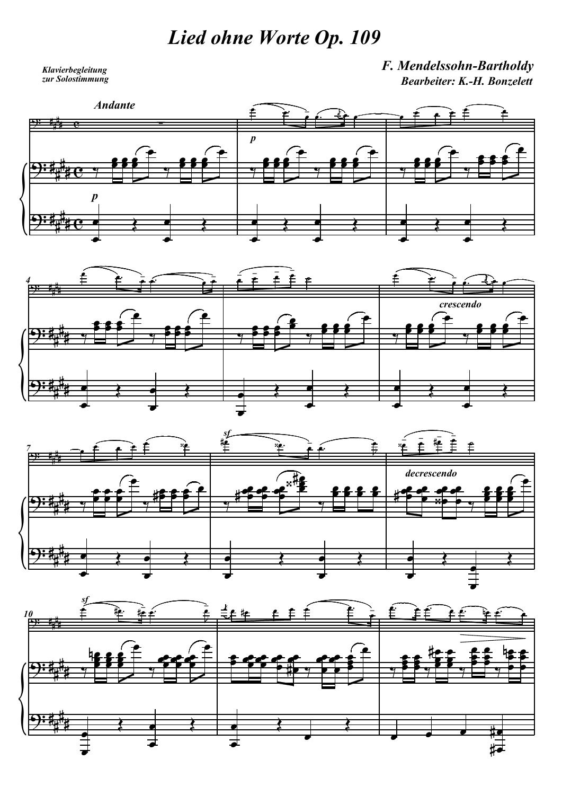## Lied ohne Worte Op. 109

Klavierbegleitung<br>zur Solostimmung

F. Mendelssohn-Bartholdy Bearbeiter: K.-H. Bonzelett







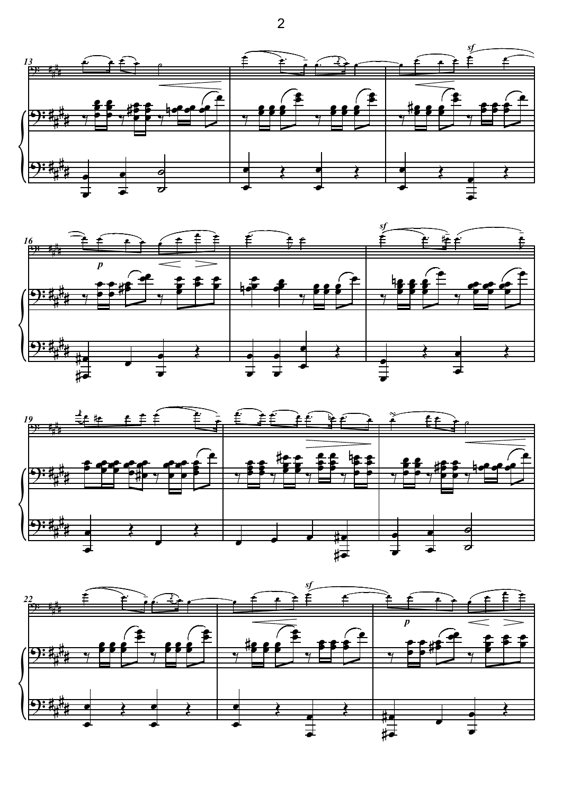





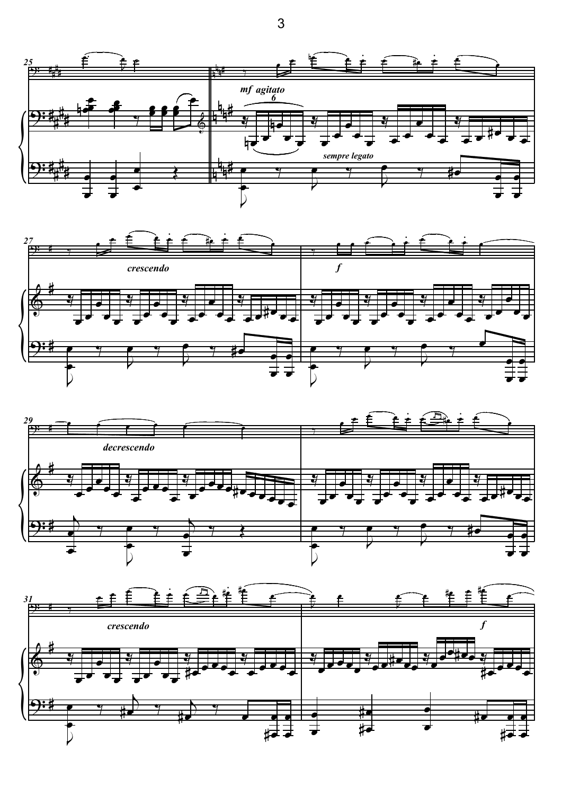





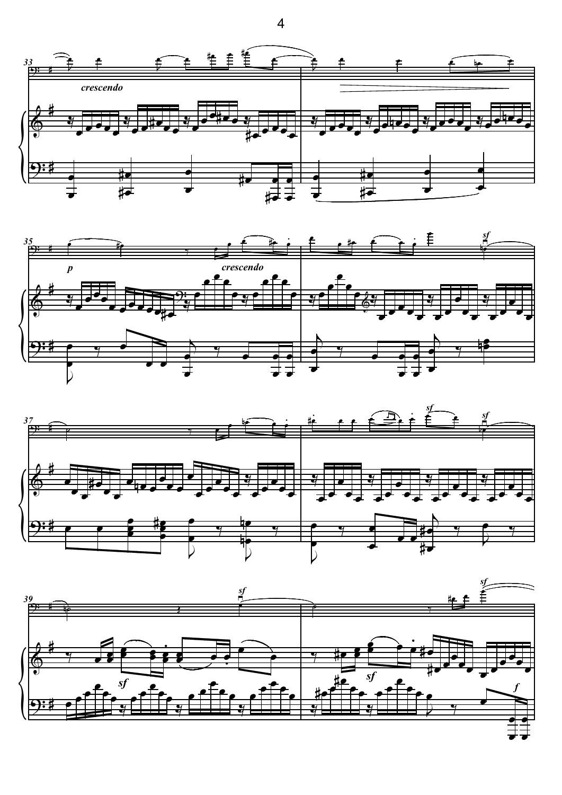







4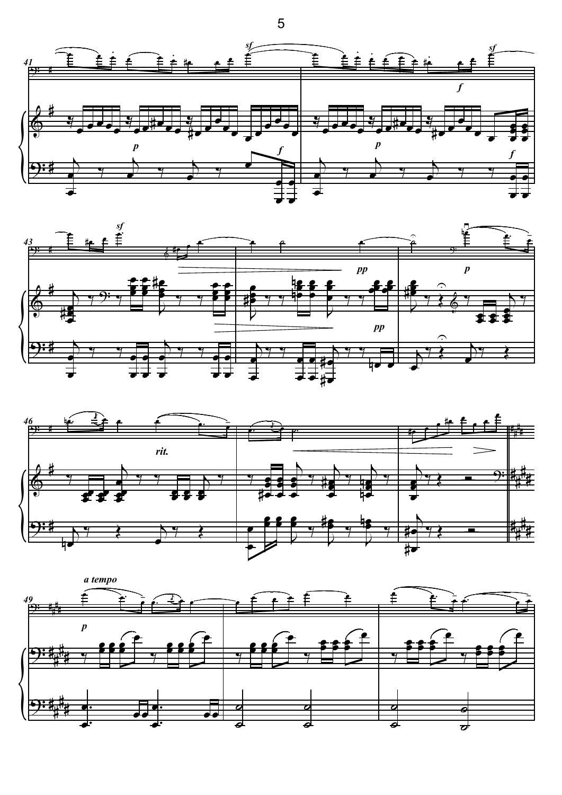







5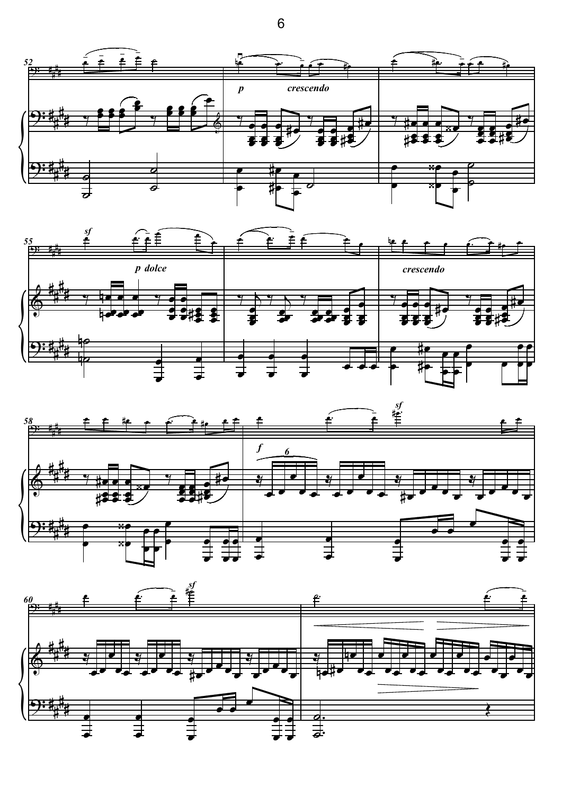







6